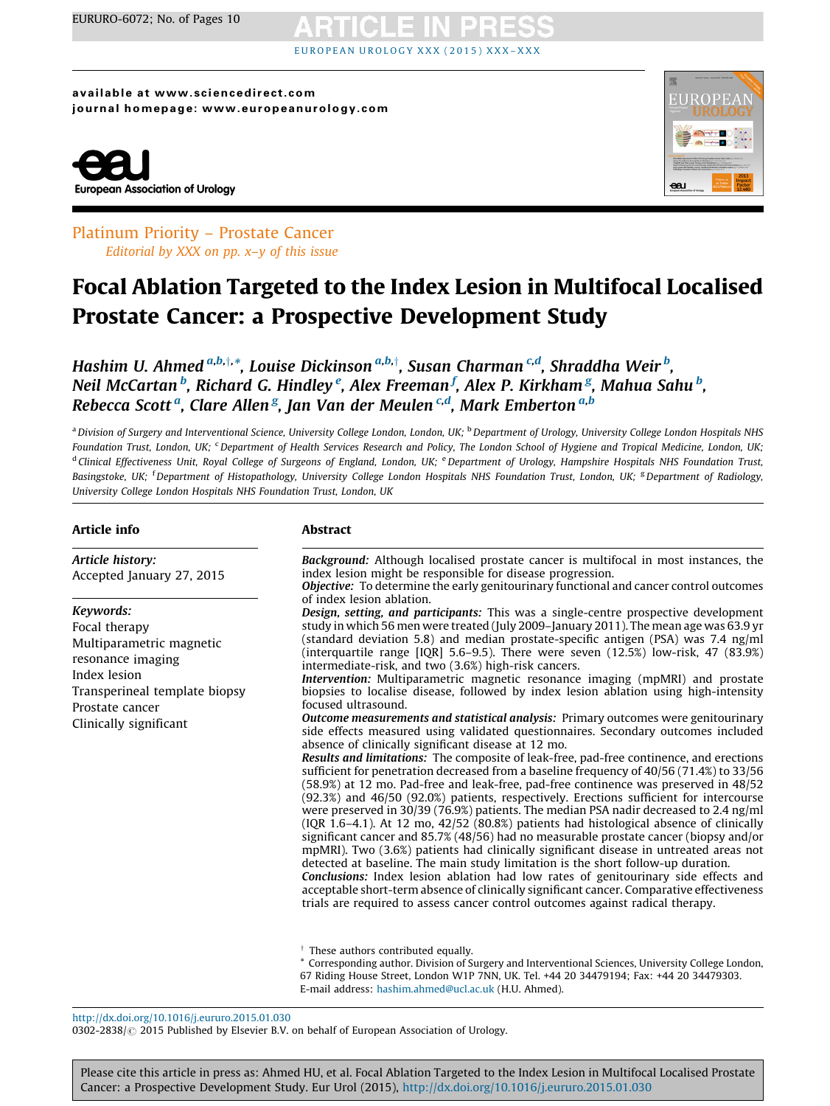# EUROPEA[N](http://dx.doi.org/10.1016/j.eururo.2015.01.030) UROLOGY XXX (2015) XXX-XXX

available at www.sciencedirect.com journal homepage: www.europeanurology.com





## Platinum Priority – Prostate Cancer Editorial by XXX on pp.  $x-y$  of this issue

## Focal Ablation Targeted to the Index Lesion in Multifocal Localised Prostate Cancer: a Prospective Development Study

Hashim U. Ahmed <sup>a,b,†,</sup>\*, Louise Dickinson <sup>a,b,†</sup>, Susan Charman <sup>c,d</sup>, Shraddha Weir <sup>b</sup>, Neil McCartan <sup>b</sup>, Richard G. Hindley <sup>e</sup>, Alex Freeman <sup>f</sup>, Alex P. Kirkham <sup>g</sup>, Mahua Sahu <sup>b</sup>, Rebecca Scott<sup>a</sup>, Clare Allen<sup>g</sup>, Jan Van der Meulen<sup>c,d</sup>, Mark Emberton<sup>a,b</sup>

a Division of Surgery and Interventional Science, University College London, London, UK; <sup>b</sup> Department of Urology, University College London Hospitals NHS Foundation Trust, London, UK; <Department of Health Services Research and Policy, The London School of Hygiene and Tropical Medicine, London, UK; <sup>d</sup> Clinical Effectiveness Unit, Royal College of Surgeons of England, London, UK; <sup>e</sup> Department of Urology, Hampshire Hospitals NHS Foundation Trust, Basingstoke, UK; <sup>f</sup> Department of Histopathology, University College London Hospitals NHS Foundation Trust, London, UK; <sup>g</sup> Department of Radiology, University College London Hospitals NHS Foundation Trust, London, UK

### Article info

Article history: Accepted January 27, 2015

#### Keywords:

Focal therapy Multiparametric magnetic resonance imaging Index lesion Transperineal template biopsy Prostate cancer Clinically significant

### Abstract

Background: Although localised prostate cancer is multifocal in most instances, the index lesion might be responsible for disease progression.

Objective: To determine the early genitourinary functional and cancer control outcomes of index lesion ablation.

Design, setting, and participants: This was a single-centre prospective development study in which 56 men were treated (July 2009–January 2011). The mean age was 63.9 yr (standard deviation 5.8) and median prostate-specific antigen (PSA) was 7.4 ng/ml (interquartile range [IQR] 5.6–9.5). There were seven (12.5%) low-risk, 47 (83.9%) intermediate-risk, and two (3.6%) high-risk cancers.

Intervention: Multiparametric magnetic resonance imaging (mpMRI) and prostate biopsies to localise disease, followed by index lesion ablation using high-intensity focused ultrasound.

Outcome measurements and statistical analysis: Primary outcomes were genitourinary side effects measured using validated questionnaires. Secondary outcomes included absence of clinically significant disease at 12 mo.

Results and limitations: The composite of leak-free, pad-free continence, and erections sufficient for penetration decreased from a baseline frequency of 40/56 (71.4%) to 33/56 (58.9%) at 12 mo. Pad-free and leak-free, pad-free continence was preserved in 48/52 (92.3%) and 46/50 (92.0%) patients, respectively. Erections sufficient for intercourse were preserved in 30/39 (76.9%) patients. The median PSA nadir decreased to 2.4 ng/ml (IQR 1.6–4.1). At 12 mo, 42/52 (80.8%) patients had histological absence of clinically significant cancer and 85.7% (48/56) had no measurable prostate cancer (biopsy and/or mpMRI). Two (3.6%) patients had clinically significant disease in untreated areas not detected at baseline. The main study limitation is the short follow-up duration. Conclusions: Index lesion ablation had low rates of genitourinary side effects and acceptable short-term absence of clinically significant cancer. Comparative effectiveness

 $\dagger$  These authors contributed equally.

\* Corresponding author. Division of Surgery and Interventional Sciences, University College London, 67 Riding House Street, London W1P 7NN, UK. Tel. +44 20 34479194; Fax: +44 20 34479303. E-mail address: [hashim.ahmed@ucl.ac.uk](mailto:hashim.ahmed@ucl.ac.uk) (H.U. Ahmed).

trials are required to assess cancer control outcomes against radical therapy.

<http://dx.doi.org/10.1016/j.eururo.2015.01.030>

0302-2838/ 2015 Published by Elsevier B.V. on behalf of European Association of Urology.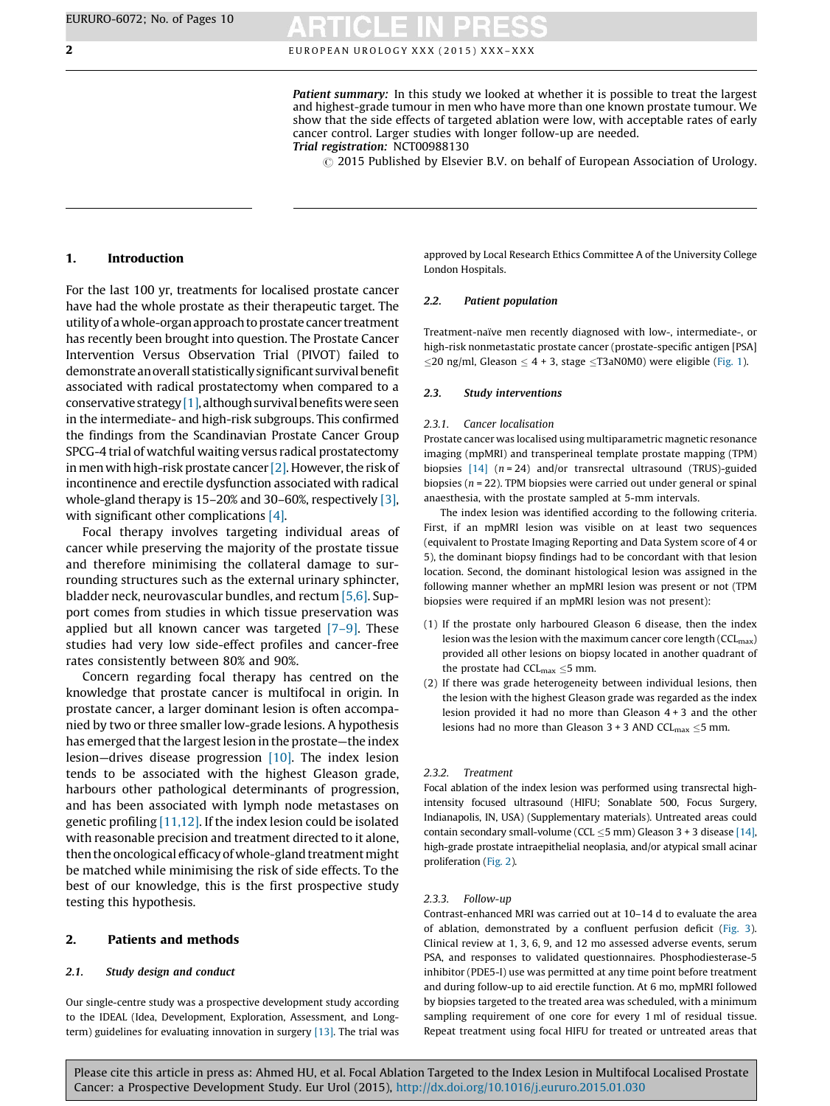Patient summary: In this study we looked at whether it is possible to treat the largest and highest-grade tumour in men who have more than one known prostate tumour. We show that the side effects of targeted ablation were low, with acceptable rates of early cancer control. Larger studies with longer follow-up are needed. Trial registration: NCT00988130

 $\odot$  2015 Published by Elsevier B.V. on behalf of European Association of Urology.

#### 1. Introduction

For the last 100 yr, treatments for localised prostate cancer have had the whole prostate as their therapeutic target. The utility of awhole-organ approachtoprostate cancer treatment has recently been brought into question. The Prostate Cancer Intervention Versus Observation Trial (PIVOT) failed to demonstrate anoverall statistically significantsurvival benefit associated with radical prostatectomy when compared to a conservative strategy  $[1]$ , although survival benefits were seen in the intermediate- and high-risk subgroups. This confirmed the findings from the Scandinavian Prostate Cancer Group SPCG-4 trial of watchful waiting versus radical prostatectomy in men with high-risk prostate cancer [\[2\]](#page-8-0). However, the risk of incontinence and erectile dysfunction associated with radical whole-gland therapy is 15–20% and 30–60%, respectively [\[3\]](#page-8-0), with significant other complications [\[4\]](#page-8-0).

Focal therapy involves targeting individual areas of cancer while preserving the majority of the prostate tissue and therefore minimising the collateral damage to surrounding structures such as the external urinary sphincter, bladder neck, neurovascular bundles, and rectum [\[5,6\].](#page-8-0) Support comes from studies in which tissue preservation was applied but all known cancer was targeted  $[7-9]$ . These studies had very low side-effect profiles and cancer-free rates consistently between 80% and 90%.

Concern regarding focal therapy has centred on the knowledge that prostate cancer is multifocal in origin. In prostate cancer, a larger dominant lesion is often accompanied by two or three smaller low-grade lesions. A hypothesis has emerged that the largest lesion in the prostate—the index lesion—drives disease progression [\[10\]](#page-8-0). The index lesion tends to be associated with the highest Gleason grade, harbours other pathological determinants of progression, and has been associated with lymph node metastases on genetic profiling [\[11,12\].](#page-8-0) If the index lesion could be isolated with reasonable precision and treatment directed to it alone, then the oncological efficacy of whole-gland treatment might be matched while minimising the risk of side effects. To the best of our knowledge, this is the first prospective study testing this hypothesis.

### 2. Patients and methods

#### 2.1. Study design and conduct

Our single-centre study was a prospective development study according to the IDEAL (Idea, Development, Exploration, Assessment, and Longterm) guidelines for evaluating innovation in surgery [\[13\]](#page-8-0). The trial was

approved by Local Research Ethics Committee A of the University College London Hospitals.

#### 2.2. Patient population

Treatment-naïve men recently diagnosed with low-, intermediate-, or high-risk nonmetastatic prostate cancer (prostate-specific antigen [PSA]  $\leq$ 20 ng/ml, Gleason  $\leq$  4 + 3, stage  $\leq$ T3aN0M0) were eligible ([Fig.](#page-2-0) 1).

#### 2.3. Study interventions

#### 2.3.1. Cancer localisation

Prostate cancer was localised using multiparametric magnetic resonance imaging (mpMRI) and transperineal template prostate mapping (TPM) biopsies  $[14]$   $(n = 24)$  and/or transrectal ultrasound (TRUS)-guided biopsies ( $n = 22$ ). TPM biopsies were carried out under general or spinal anaesthesia, with the prostate sampled at 5-mm intervals.

The index lesion was identified according to the following criteria. First, if an mpMRI lesion was visible on at least two sequences (equivalent to Prostate Imaging Reporting and Data System score of 4 or 5), the dominant biopsy findings had to be concordant with that lesion location. Second, the dominant histological lesion was assigned in the following manner whether an mpMRI lesion was present or not (TPM biopsies were required if an mpMRI lesion was not present):

- (1) If the prostate only harboured Gleason 6 disease, then the index lesion was the lesion with the maximum cancer core length ( $CCL_{max}$ ) provided all other lesions on biopsy located in another quadrant of the prostate had  $CCL_{\text{max}} \leq 5$  mm.
- (2) If there was grade heterogeneity between individual lesions, then the lesion with the highest Gleason grade was regarded as the index lesion provided it had no more than Gleason 4 + 3 and the other lesions had no more than Gleason  $3 + 3$  AND CCL<sub>max</sub>  $\leq$ 5 mm.

#### 2.3.2. Treatment

Focal ablation of the index lesion was performed using transrectal highintensity focused ultrasound (HIFU; Sonablate 500, Focus Surgery, Indianapolis, IN, USA) (Supplementary materials). Untreated areas could contain secondary small-volume (CCL  $\leq$ 5 mm) Gleason 3 + 3 disease [\[14\],](#page-8-0) high-grade prostate intraepithelial neoplasia, and/or atypical small acinar proliferation ([Fig.](#page-3-0) 2).

#### 2.3.3. Follow-up

Contrast-enhanced MRI was carried out at 10–14 d to evaluate the area of ablation, demonstrated by a confluent perfusion deficit [\(Fig.](#page-3-0) 3). Clinical review at 1, 3, 6, 9, and 12 mo assessed adverse events, serum PSA, and responses to validated questionnaires. Phosphodiesterase-5 inhibitor (PDE5-I) use was permitted at any time point before treatment and during follow-up to aid erectile function. At 6 mo, mpMRI followed by biopsies targeted to the treated area was scheduled, with a minimum sampling requirement of one core for every 1 ml of residual tissue. Repeat treatment using focal HIFU for treated or untreated areas that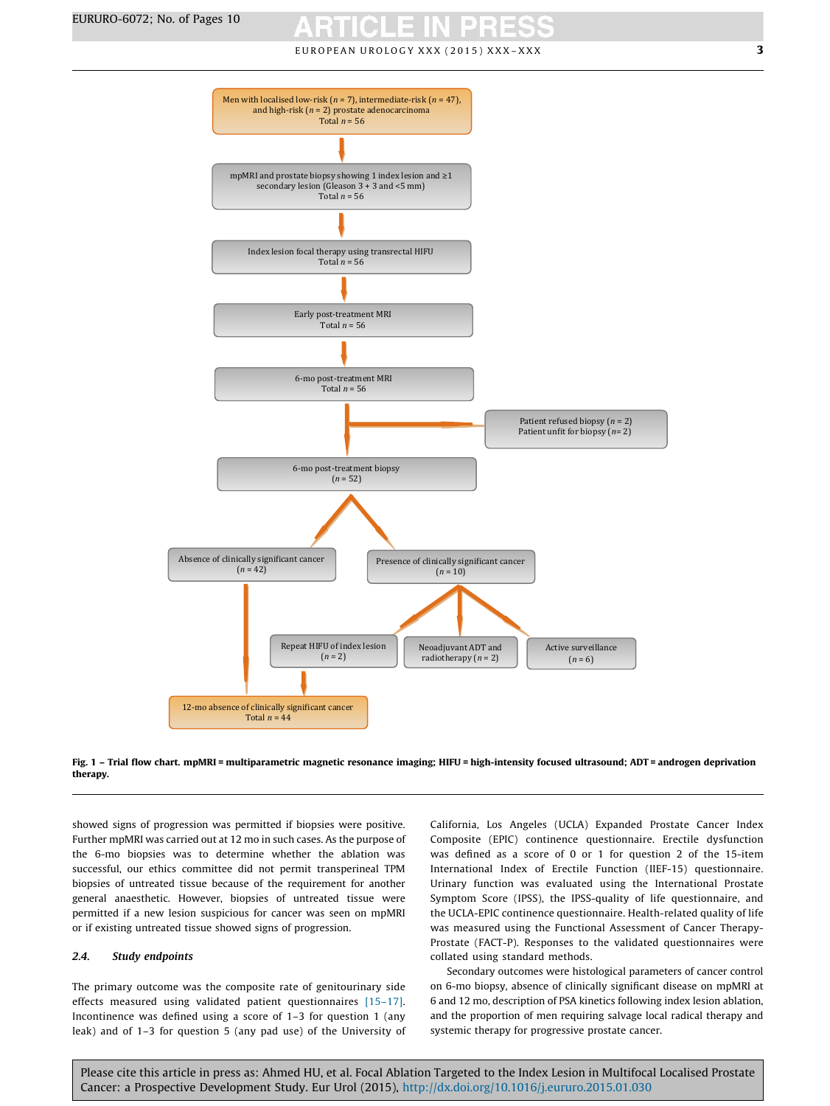### $E$  U R O P E AN UROLOGY XXX (2015) XXX-XXX  $\sim$  3

<span id="page-2-0"></span>



showed signs of progression was permitted if biopsies were positive. Further mpMRI was carried out at 12 mo in such cases. As the purpose of the 6-mo biopsies was to determine whether the ablation was successful, our ethics committee did not permit transperineal TPM biopsies of untreated tissue because of the requirement for another general anaesthetic. However, biopsies of untreated tissue were permitted if a new lesion suspicious for cancer was seen on mpMRI or if existing untreated tissue showed signs of progression.

#### 2.4. Study endpoints

The primary outcome was the composite rate of genitourinary side effects measured using validated patient questionnaires [\[15–17\]](#page-8-0). Incontinence was defined using a score of 1–3 for question 1 (any leak) and of 1–3 for question 5 (any pad use) of the University of California, Los Angeles (UCLA) Expanded Prostate Cancer Index Composite (EPIC) continence questionnaire. Erectile dysfunction was defined as a score of 0 or 1 for question 2 of the 15-item International Index of Erectile Function (IIEF-15) questionnaire. Urinary function was evaluated using the International Prostate Symptom Score (IPSS), the IPSS-quality of life questionnaire, and the UCLA-EPIC continence questionnaire. Health-related quality of life was measured using the Functional Assessment of Cancer Therapy-Prostate (FACT-P). Responses to the validated questionnaires were collated using standard methods.

Secondary outcomes were histological parameters of cancer control on 6-mo biopsy, absence of clinically significant disease on mpMRI at 6 and 12 mo, description of PSA kinetics following index lesion ablation, and the proportion of men requiring salvage local radical therapy and systemic therapy for progressive prostate cancer.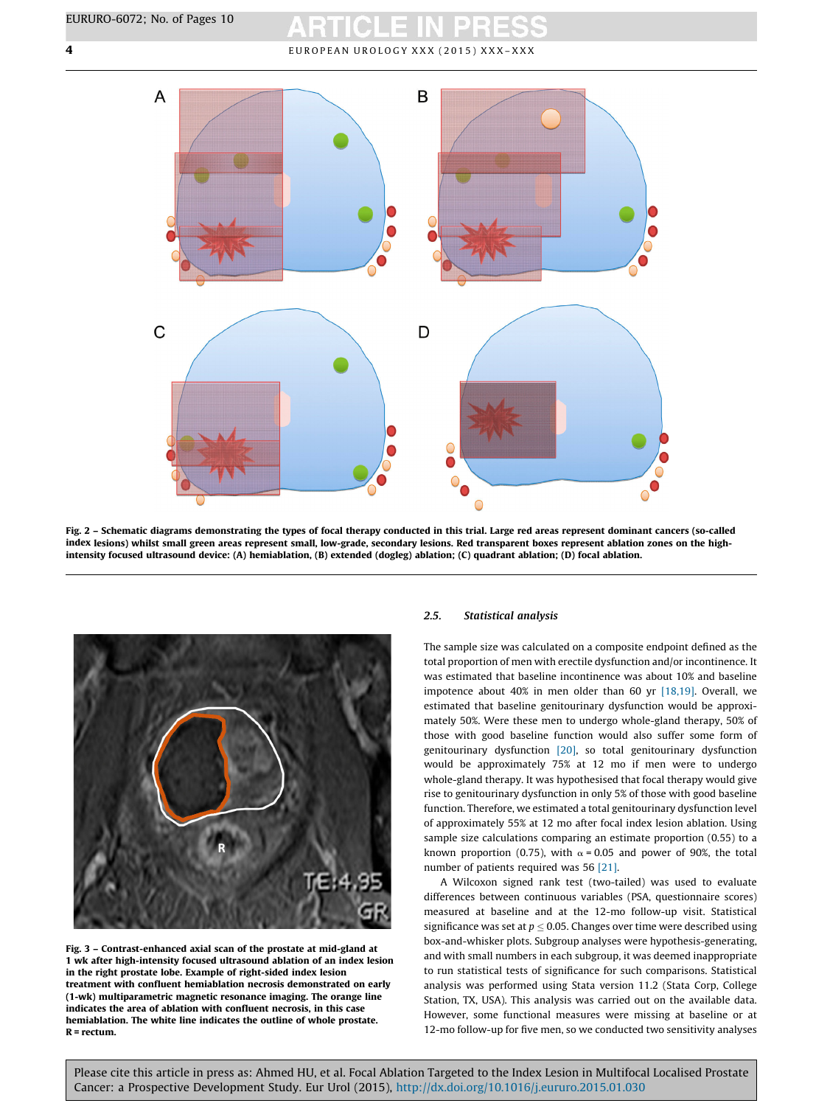<span id="page-3-0"></span>

Fig. 2 – Schematic diagrams demonstrating the types of focal therapy conducted in this trial. Large red areas represent dominant cancers (so-called index lesions) whilst small green areas represent small, low-grade, secondary lesions. Red transparent boxes represent ablation zones on the highintensity focused ultrasound device: (A) hemiablation, (B) extended (dogleg) ablation; (C) quadrant ablation; (D) focal ablation.



Fig. 3 – Contrast-enhanced axial scan of the prostate at mid-gland at 1 wk after high-intensity focused ultrasound ablation of an index lesion in the right prostate lobe. Example of right-sided index lesion treatment with confluent hemiablation necrosis demonstrated on early (1-wk) multiparametric magnetic resonance imaging. The orange line indicates the area of ablation with confluent necrosis, in this case hemiablation. The white line indicates the outline of whole prostate. R = rectum.

#### 2.5. Statistical analysis

The sample size was calculated on a composite endpoint defined as the total proportion of men with erectile dysfunction and/or incontinence. It was estimated that baseline incontinence was about 10% and baseline impotence about 40% in men older than 60 yr [\[18,19\].](#page-8-0) Overall, we estimated that baseline genitourinary dysfunction would be approximately 50%. Were these men to undergo whole-gland therapy, 50% of those with good baseline function would also suffer some form of genitourinary dysfunction [\[20\]](#page-8-0), so total genitourinary dysfunction would be approximately 75% at 12 mo if men were to undergo whole-gland therapy. It was hypothesised that focal therapy would give rise to genitourinary dysfunction in only 5% of those with good baseline function. Therefore, we estimated a total genitourinary dysfunction level of approximately 55% at 12 mo after focal index lesion ablation. Using sample size calculations comparing an estimate proportion (0.55) to a known proportion (0.75), with  $\alpha$  = 0.05 and power of 90%, the total number of patients required was 56 [\[21\].](#page-8-0)

A Wilcoxon signed rank test (two-tailed) was used to evaluate differences between continuous variables (PSA, questionnaire scores) measured at baseline and at the 12-mo follow-up visit. Statistical significance was set at  $p \leq 0.05$ . Changes over time were described using box-and-whisker plots. Subgroup analyses were hypothesis-generating, and with small numbers in each subgroup, it was deemed inappropriate to run statistical tests of significance for such comparisons. Statistical analysis was performed using Stata version 11.2 (Stata Corp, College Station, TX, USA). This analysis was carried out on the available data. However, some functional measures were missing at baseline or at 12-mo follow-up for five men, so we conducted two sensitivity analyses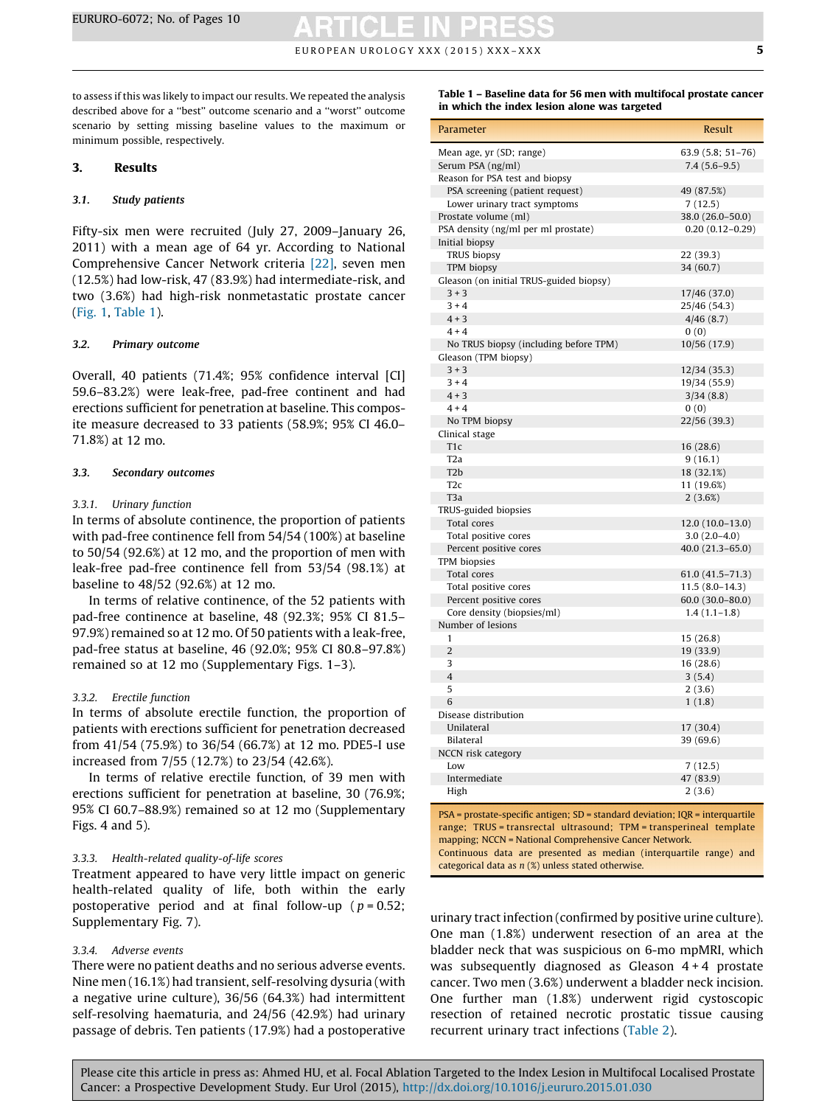to assess if this was likely to impact our results. We repeated the analysis described above for a ''best'' outcome scenario and a ''worst'' outcome scenario by setting missing baseline values to the maximum or minimum possible, respectively.

### 3. Results

#### 3.1. Study patients

Fifty-six men were recruited (July 27, 2009–January 26, 2011) with a mean age of 64 yr. According to National Comprehensive Cancer Network criteria [\[22\],](#page-8-0) seven men (12.5%) had low-risk, 47 (83.9%) had intermediate-risk, and two (3.6%) had high-risk nonmetastatic prostate cancer [\(Fig.](#page-2-0) 1, Table 1).

### 3.2. Primary outcome

Overall, 40 patients (71.4%; 95% confidence interval [CI] 59.6–83.2%) were leak-free, pad-free continent and had erections sufficient for penetration at baseline. This composite measure decreased to 33 patients (58.9%; 95% CI 46.0– 71.8%) at 12 mo.

### 3.3. Secondary outcomes

#### 3.3.1. Urinary function

In terms of absolute continence, the proportion of patients with pad-free continence fell from 54/54 (100%) at baseline to 50/54 (92.6%) at 12 mo, and the proportion of men with leak-free pad-free continence fell from 53/54 (98.1%) at baseline to 48/52 (92.6%) at 12 mo.

In terms of relative continence, of the 52 patients with pad-free continence at baseline, 48 (92.3%; 95% CI 81.5– 97.9%) remained so at 12 mo. Of 50 patients with a leak-free, pad-free status at baseline, 46 (92.0%; 95% CI 80.8–97.8%) remained so at 12 mo (Supplementary Figs. 1–3).

#### 3.3.2. Erectile function

In terms of absolute erectile function, the proportion of patients with erections sufficient for penetration decreased from 41/54 (75.9%) to 36/54 (66.7%) at 12 mo. PDE5-I use increased from 7/55 (12.7%) to 23/54 (42.6%).

In terms of relative erectile function, of 39 men with erections sufficient for penetration at baseline, 30 (76.9%; 95% CI 60.7–88.9%) remained so at 12 mo (Supplementary Figs. 4 and 5).

#### 3.3.3. Health-related quality-of-life scores

Treatment appeared to have very little impact on generic health-related quality of life, both within the early postoperative period and at final follow-up ( $p = 0.52$ ; Supplementary Fig. 7).

#### 3.3.4. Adverse events

There were no patient deaths and no serious adverse events. Nine men (16.1%) had transient, self-resolving dysuria (with a negative urine culture), 36/56 (64.3%) had intermittent self-resolving haematuria, and 24/56 (42.9%) had urinary passage of debris. Ten patients (17.9%) had a postoperative Table 1 – Baseline data for 56 men with multifocal prostate cancer in which the index lesion alone was targeted

| Parameter                               | Result               |  |  |  |
|-----------------------------------------|----------------------|--|--|--|
| Mean age, yr (SD; range)                | $63.9(5.8; 51-76)$   |  |  |  |
| Serum PSA (ng/ml)                       | $7.4(5.6-9.5)$       |  |  |  |
| Reason for PSA test and biopsy          |                      |  |  |  |
| PSA screening (patient request)         | 49 (87.5%)           |  |  |  |
| Lower urinary tract symptoms            | 7(12.5)              |  |  |  |
| Prostate volume (ml)                    | 38.0 (26.0-50.0)     |  |  |  |
| PSA density (ng/ml per ml prostate)     | $0.20(0.12 - 0.29)$  |  |  |  |
| Initial biopsy                          |                      |  |  |  |
| <b>TRUS biopsy</b>                      | 22 (39.3)            |  |  |  |
| <b>TPM</b> biopsy                       | 34 (60.7)            |  |  |  |
| Gleason (on initial TRUS-guided biopsy) |                      |  |  |  |
| $3 + 3$                                 | 17/46 (37.0)         |  |  |  |
| $3 + 4$                                 | 25/46 (54.3)         |  |  |  |
| $4 + 3$                                 | 4/46(8.7)            |  |  |  |
| $4 + 4$                                 | 0(0)                 |  |  |  |
| No TRUS biopsy (including before TPM)   | 10/56 (17.9)         |  |  |  |
| Gleason (TPM biopsy)                    |                      |  |  |  |
| $3 + 3$                                 | 12/34 (35.3)         |  |  |  |
| $3 + 4$                                 | 19/34 (55.9)         |  |  |  |
| $4 + 3$                                 | 3/34(8.8)            |  |  |  |
| $4 + 4$                                 | 0(0)                 |  |  |  |
| No TPM biopsy                           | 22/56 (39.3)         |  |  |  |
| Clinical stage<br>T <sub>1</sub> c      |                      |  |  |  |
| T <sub>2</sub> a                        | 16 (28.6)<br>9(16.1) |  |  |  |
| T <sub>2</sub> b                        | 18 (32.1%)           |  |  |  |
| T <sub>2</sub> c                        | 11 (19.6%)           |  |  |  |
| T <sub>3</sub> a                        | 2(3.6%)              |  |  |  |
| TRUS-guided biopsies                    |                      |  |  |  |
| Total cores                             | $12.0(10.0-13.0)$    |  |  |  |
| Total positive cores                    | $3.0(2.0-4.0)$       |  |  |  |
| Percent positive cores                  | $40.0(21.3-65.0)$    |  |  |  |
| <b>TPM</b> biopsies                     |                      |  |  |  |
| Total cores                             | 61.0 (41.5–71.3)     |  |  |  |
| Total positive cores                    | $11.5(8.0-14.3)$     |  |  |  |
| Percent positive cores                  | $60.0(30.0 - 80.0)$  |  |  |  |
| Core density (biopsies/ml)              | $1.4(1.1-1.8)$       |  |  |  |
| Number of lesions                       |                      |  |  |  |
| 1                                       | 15 (26.8)            |  |  |  |
| $\overline{2}$                          | 19 (33.9)            |  |  |  |
| 3                                       | 16 (28.6)            |  |  |  |
| $\overline{4}$                          | 3(5.4)               |  |  |  |
| 5                                       | 2(3.6)               |  |  |  |
| 6                                       | 1(1.8)               |  |  |  |
| Disease distribution                    |                      |  |  |  |
| Unilateral                              | 17 (30.4)            |  |  |  |
| <b>Bilateral</b>                        | 39 (69.6)            |  |  |  |
| NCCN risk category                      |                      |  |  |  |
| Low                                     | 7(12.5)              |  |  |  |
| Intermediate                            | 47 (83.9)            |  |  |  |
| High                                    | 2(3.6)               |  |  |  |

PSA = prostate-specific antigen; SD = standard deviation; IQR = interquartile range; TRUS = transrectal ultrasound; TPM = transperineal template mapping; NCCN = National Comprehensive Cancer Network. Continuous data are presented as median (interquartile range) and categorical data as  $n$  (%) unless stated otherwise.

urinary tract infection (confirmed by positive urine culture). One man (1.8%) underwent resection of an area at the bladder neck that was suspicious on 6-mo mpMRI, which was subsequently diagnosed as Gleason 4 + 4 prostate cancer. Two men (3.6%) underwent a bladder neck incision. One further man (1.8%) underwent rigid cystoscopic resection of retained necrotic prostatic tissue causing recurrent urinary tract infections ([Table](#page-5-0) 2).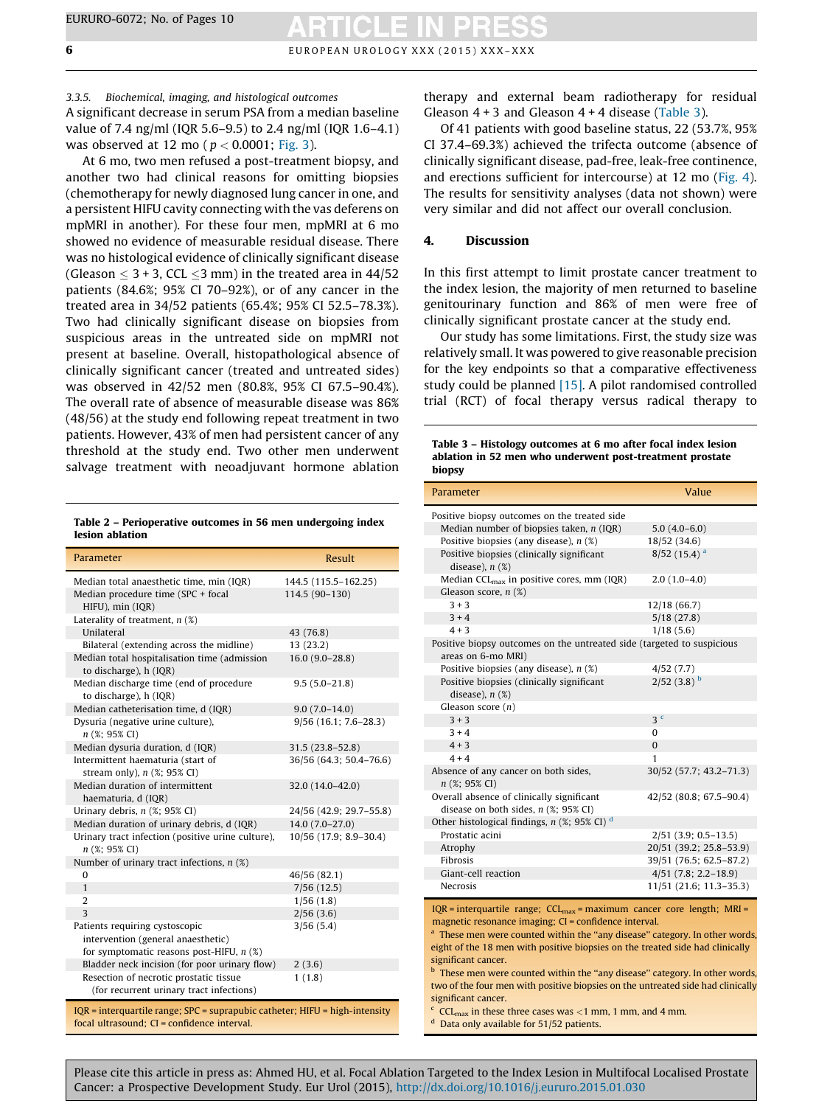#### <span id="page-5-0"></span>3.3.5. Biochemical, imaging, and histological outcomes

A significant decrease in serum PSA from a median baseline value of 7.4 ng/ml (IQR 5.6–9.5) to 2.4 ng/ml (IQR 1.6–4.1) was observed at 12 mo ( $p < 0.0001$ ; [Fig.](#page-3-0) 3).

At 6 mo, two men refused a post-treatment biopsy, and another two had clinical reasons for omitting biopsies (chemotherapy for newly diagnosed lung cancer in one, and a persistent HIFU cavity connecting with the vas deferens on mpMRI in another). For these four men, mpMRI at 6 mo showed no evidence of measurable residual disease. There was no histological evidence of clinically significant disease (Gleason  $\leq$  3 + 3, CCL  $\leq$ 3 mm) in the treated area in 44/52 patients (84.6%; 95% CI 70–92%), or of any cancer in the treated area in 34/52 patients (65.4%; 95% CI 52.5–78.3%). Two had clinically significant disease on biopsies from suspicious areas in the untreated side on mpMRI not present at baseline. Overall, histopathological absence of clinically significant cancer (treated and untreated sides) was observed in 42/52 men (80.8%, 95% CI 67.5–90.4%). The overall rate of absence of measurable disease was 86% (48/56) at the study end following repeat treatment in two patients. However, 43% of men had persistent cancer of any threshold at the study end. Two other men underwent salvage treatment with neoadjuvant hormone ablation

Table 2 – Perioperative outcomes in 56 men undergoing index lesion ablation

| Parameter                                                                                                                        | Result                  |
|----------------------------------------------------------------------------------------------------------------------------------|-------------------------|
| Median total anaesthetic time, min (IQR)                                                                                         | 144.5 (115.5-162.25)    |
| Median procedure time (SPC + focal                                                                                               | 114.5 (90-130)          |
| HIFU), min (IQR)                                                                                                                 |                         |
| Laterality of treatment, $n$ (%)                                                                                                 |                         |
| Unilateral                                                                                                                       | 43 (76.8)               |
| Bilateral (extending across the midline)                                                                                         | 13 (23.2)               |
| Median total hospitalisation time (admission<br>to discharge), h (IQR)                                                           | $16.0(9.0-28.8)$        |
| Median discharge time (end of procedure<br>to discharge), h (IQR)                                                                | $9.5(5.0-21.8)$         |
| Median catheterisation time, d (IQR)                                                                                             | $9.0(7.0-14.0)$         |
| Dysuria (negative urine culture),<br>n (%; 95% CI)                                                                               | $9/56$ (16.1; 7.6-28.3) |
| Median dysuria duration, d (IQR)                                                                                                 | 31.5 (23.8-52.8)        |
| Intermittent haematuria (start of<br>stream only), $n$ (%; 95% CI)                                                               | 36/56 (64.3; 50.4-76.6) |
| Median duration of intermittent<br>haematuria, d (IQR)                                                                           | 32.0 (14.0-42.0)        |
| Urinary debris, $n$ (%; 95% CI)                                                                                                  | 24/56 (42.9; 29.7-55.8) |
| Median duration of urinary debris, d (IQR)                                                                                       | $14.0(7.0-27.0)$        |
| Urinary tract infection (positive urine culture),<br>n (%; 95% CI)                                                               | 10/56 (17.9; 8.9-30.4)  |
| Number of urinary tract infections, $n$ (%)                                                                                      |                         |
| 0                                                                                                                                | 46/56 (82.1)            |
| $\mathbf{1}$                                                                                                                     | 7/56(12.5)              |
| $\overline{2}$                                                                                                                   | 1/56(1.8)               |
| 3                                                                                                                                | 2/56(3.6)               |
| Patients requiring cystoscopic<br>intervention (general anaesthetic)<br>for symptomatic reasons post-HIFU, $n$ (%)               | 3/56(5.4)               |
| Bladder neck incision (for poor urinary flow)                                                                                    | 2(3.6)                  |
| Resection of necrotic prostatic tissue                                                                                           | 1(1.8)                  |
| (for recurrent urinary tract infections)                                                                                         |                         |
| $IQR$ = interquartile range; $SPC$ = suprapubic catheter; $HIFU$ = high-intensity<br>focal ultrasound: CI = confidence interval. |                         |

therapy and external beam radiotherapy for residual Gleason  $4 + 3$  and Gleason  $4 + 4$  disease (Table 3).

Of 41 patients with good baseline status, 22 (53.7%, 95% CI 37.4–69.3%) achieved the trifecta outcome (absence of clinically significant disease, pad-free, leak-free continence, and erections sufficient for intercourse) at 12 mo ([Fig.](#page-6-0) 4). The results for sensitivity analyses (data not shown) were very similar and did not affect our overall conclusion.

## 4. Discussion

In this first attempt to limit prostate cancer treatment to the index lesion, the majority of men returned to baseline genitourinary function and 86% of men were free of clinically significant prostate cancer at the study end.

Our study has some limitations. First, the study size was relatively small. It was powered to give reasonable precision for the key endpoints so that a comparative effectiveness study could be planned [\[15\].](#page-8-0) A pilot randomised controlled trial (RCT) of focal therapy versus radical therapy to

| Table 3 – Histology outcomes at 6 mo after focal index lesion |
|---------------------------------------------------------------|
| ablation in 52 men who underwent post-treatment prostate      |
| biopsy                                                        |

| Parameter                                                                                    | Value                   |  |  |  |  |
|----------------------------------------------------------------------------------------------|-------------------------|--|--|--|--|
| Positive biopsy outcomes on the treated side                                                 |                         |  |  |  |  |
| Median number of biopsies taken, $n$ (IQR)                                                   | $5.0(4.0-6.0)$          |  |  |  |  |
| Positive biopsies (any disease), $n$ (%)                                                     | 18/52 (34.6)            |  |  |  |  |
| Positive biopsies (clinically significant<br>disease), $n$ $(\%)$                            | $8/52(15.4)^{a}$        |  |  |  |  |
| Median CCL <sub>max</sub> in positive cores, mm (IQR)                                        | $2.0(1.0-4.0)$          |  |  |  |  |
| Gleason score, $n$ $(\%)$                                                                    |                         |  |  |  |  |
| $3 + 3$                                                                                      | 12/18 (66.7)            |  |  |  |  |
| $3 + 4$                                                                                      | 5/18(27.8)              |  |  |  |  |
| $4 + 3$                                                                                      | 1/18(5.6)               |  |  |  |  |
| Positive biopsy outcomes on the untreated side (targeted to suspicious<br>areas on 6-mo MRI) |                         |  |  |  |  |
| Positive biopsies (any disease), $n$ (%)                                                     | 4/52(7.7)               |  |  |  |  |
| Positive biopsies (clinically significant<br>disease), $n$ $(\%)$                            | $2/52(3.8)^{b}$         |  |  |  |  |
| Gleason score $(n)$                                                                          |                         |  |  |  |  |
| $3 + 3$                                                                                      | 3c                      |  |  |  |  |
| $3 + 4$                                                                                      | $\Omega$                |  |  |  |  |
| $4 + 3$                                                                                      | $\Omega$                |  |  |  |  |
| $4 + 4$                                                                                      | 1                       |  |  |  |  |
| Absence of any cancer on both sides,<br>$n$ (%; 95% CI)                                      | 30/52 (57.7; 43.2-71.3) |  |  |  |  |
| Overall absence of clinically significant                                                    | 42/52 (80.8; 67.5-90.4) |  |  |  |  |
| disease on both sides, $n$ (%; 95% CI)                                                       |                         |  |  |  |  |
| Other histological findings, $n$ (%; 95% CI) <sup>d</sup>                                    |                         |  |  |  |  |
| Prostatic acini                                                                              | $2/51$ (3.9; 0.5-13.5)  |  |  |  |  |
| Atrophy                                                                                      | 20/51 (39.2; 25.8-53.9) |  |  |  |  |
| Fibrosis                                                                                     | 39/51 (76.5; 62.5-87.2) |  |  |  |  |
| Giant-cell reaction                                                                          | $4/51$ (7.8; 2.2-18.9)  |  |  |  |  |
| <b>Necrosis</b>                                                                              | 11/51 (21.6; 11.3-35.3) |  |  |  |  |

 $IQR =$  interquartile range;  $CCL_{max} =$  maximum cancer core length; MRI = magnetic resonance imaging; CI = confidence interval.

<sup>a</sup> These men were counted within the "any disease" category. In other words, eight of the 18 men with positive biopsies on the treated side had clinically significant cancer.

**b** These men were counted within the "any disease" category. In other words, two of the four men with positive biopsies on the untreated side had clinically significant cancer.

CCL<sub>max</sub> in these three cases was  $<$ 1 mm, 1 mm, and 4 mm.

Data only available for 51/52 patients.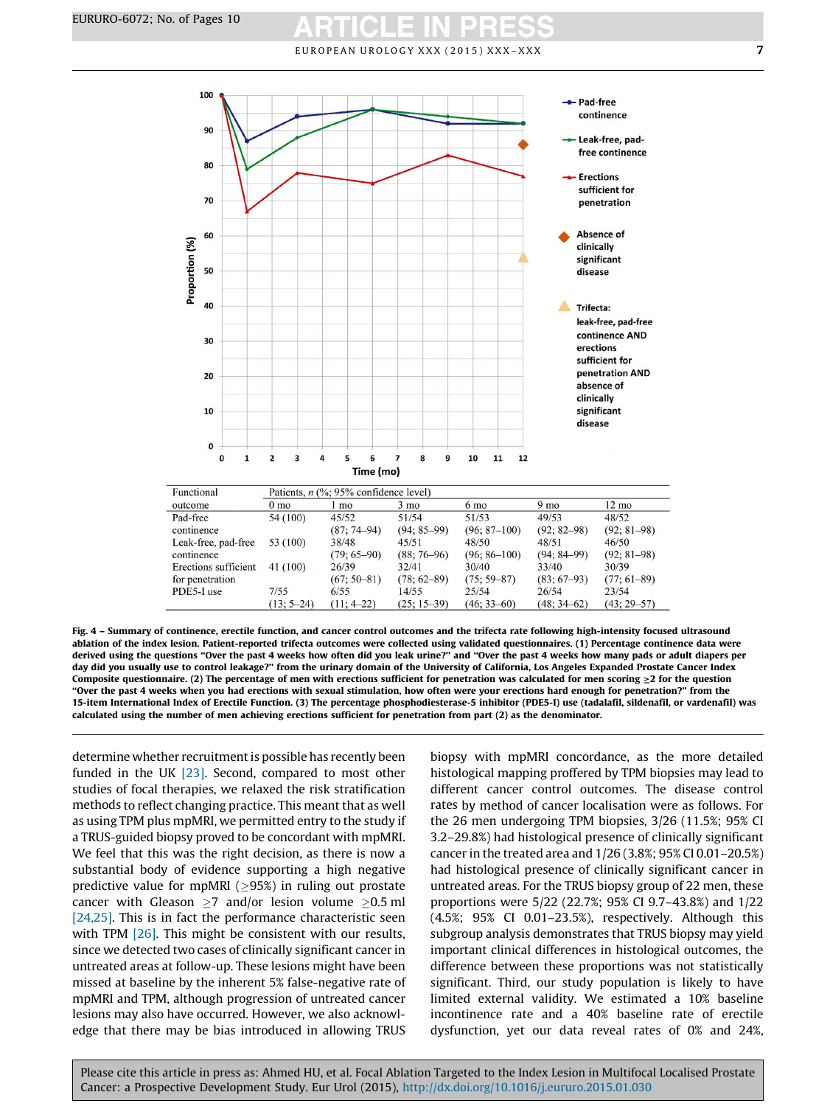### $E$ U RO PEAN UROLOGY XXX (2015) XXX-XXX  $\overline{Z}$

<span id="page-6-0"></span>

| Functional           | Patients, $n$ (%; 95% confidence level) |                |                 |                  |                 |                 |  |
|----------------------|-----------------------------------------|----------------|-----------------|------------------|-----------------|-----------------|--|
| outcome              | 0 <sub>mo</sub>                         | l mo           | $3 \text{ mo}$  | 6 mo             | 9 <sub>mo</sub> | $12 \text{ mo}$ |  |
| Pad-free             | 54 (100)                                | 45/52          | 51/54           | 51/53            | 49/53           | 48/52           |  |
| continence           |                                         | $(87; 74-94)$  | $(94; 85 - 99)$ | $(96; 87-100)$   | $(92; 82 - 98)$ | $(92; 81-98)$   |  |
| Leak-free, pad-free  | 53 (100)                                | 38/48          | 45/51           | 48/50            | 48/51           | 46/50           |  |
| continence           |                                         | $(79:65 - 90)$ | $(88; 76-96)$   | $(96; 86 - 100)$ | $(94; 84 - 99)$ | $(92; 81-98)$   |  |
| Erections sufficient | 41 (100)                                | 26/39          | 32/41           | 30/40            | 33/40           | 30/39           |  |
| for penetration      |                                         | $(67; 50-81)$  | $(78; 62 - 89)$ | $(75; 59 - 87)$  | $(83; 67-93)$   | $(77; 61-89)$   |  |
| PDE5-I use           | 7/55                                    | 6/55           | 14/55           | 25/54            | 26/54           | 23/54           |  |
|                      | $(13; 5-24)$                            | $(11; 4-22)$   | $(25; 15-39)$   | $(46; 33 - 60)$  | $(48; 34 - 62)$ | $(43; 29 - 57)$ |  |

Fig. 4 – Summary of continence, erectile function, and cancer control outcomes and the trifecta rate following high-intensity focused ultrasound ablation of the index lesion. Patient-reported trifecta outcomes were collected using validated questionnaires. (1) Percentage continence data were derived using the questions ''Over the past 4 weeks how often did you leak urine?'' and ''Over the past 4 weeks how many pads or adult diapers per day did you usually use to control leakage?'' from the urinary domain of the University of California, Los Angeles Expanded Prostate Cancer Index Composite questionnaire. (2) The percentage of men with erections sufficient for penetration was calculated for men scoring  $\geq$  2 for the question ''Over the past 4 weeks when you had erections with sexual stimulation, how often were your erections hard enough for penetration?'' from the 15-item International Index of Erectile Function. (3) The percentage phosphodiesterase-5 inhibitor (PDE5-I) use (tadalafil, sildenafil, or vardenafil) was calculated using the number of men achieving erections sufficient for penetration from part (2) as the denominator.

determine whether recruitment is possible has recently been funded in the UK [\[23\].](#page-8-0) Second, compared to most other studies of focal therapies, we relaxed the risk stratification methods to reflect changing practice. This meant that as well as using TPM plus mpMRI, we permitted entry to the study if a TRUS-guided biopsy proved to be concordant with mpMRI. We feel that this was the right decision, as there is now a substantial body of evidence supporting a high negative predictive value for mpMRI ( $\geq$ 95%) in ruling out prostate cancer with Gleason  $\geq$ 7 and/or lesion volume  $\geq$ 0.5 ml [\[24,25\]](#page-8-0). This is in fact the performance characteristic seen with TPM [\[26\].](#page-8-0) This might be consistent with our results, since we detected two cases of clinically significant cancer in untreated areas at follow-up. These lesions might have been missed at baseline by the inherent 5% false-negative rate of mpMRI and TPM, although progression of untreated cancer lesions may also have occurred. However, we also acknowledge that there may be bias introduced in allowing TRUS

biopsy with mpMRI concordance, as the more detailed histological mapping proffered by TPM biopsies may lead to different cancer control outcomes. The disease control rates by method of cancer localisation were as follows. For the 26 men undergoing TPM biopsies, 3/26 (11.5%; 95% CI 3.2–29.8%) had histological presence of clinically significant cancer in the treated area and 1/26 (3.8%; 95% CI 0.01–20.5%) had histological presence of clinically significant cancer in untreated areas. For the TRUS biopsy group of 22 men, these proportions were 5/22 (22.7%; 95% CI 9.7–43.8%) and 1/22 (4.5%; 95% CI 0.01–23.5%), respectively. Although this subgroup analysis demonstrates that TRUS biopsy may yield important clinical differences in histological outcomes, the difference between these proportions was not statistically significant. Third, our study population is likely to have limited external validity. We estimated a 10% baseline incontinence rate and a 40% baseline rate of erectile dysfunction, yet our data reveal rates of 0% and 24%,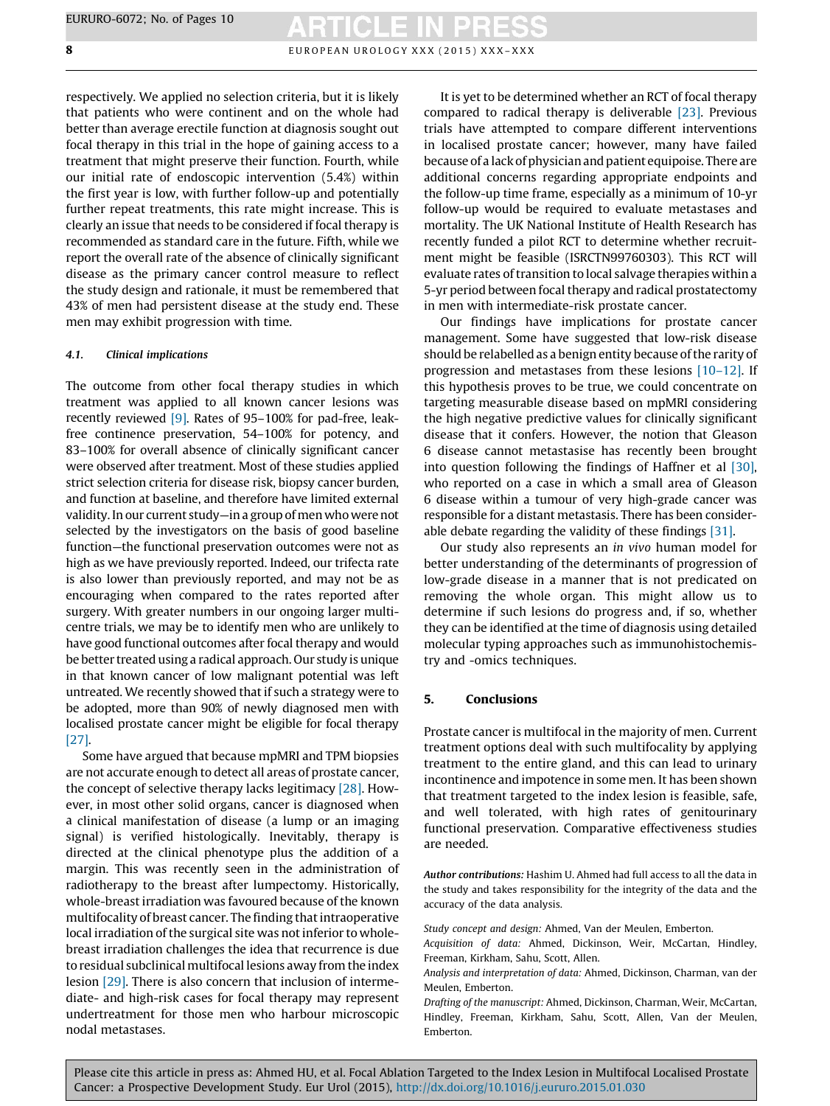respectively. We applied no selection criteria, but it is likely that patients who were continent and on the whole had better than average erectile function at diagnosis sought out focal therapy in this trial in the hope of gaining access to a treatment that might preserve their function. Fourth, while our initial rate of endoscopic intervention (5.4%) within the first year is low, with further follow-up and potentially further repeat treatments, this rate might increase. This is clearly an issue that needs to be considered if focal therapy is recommended as standard care in the future. Fifth, while we report the overall rate of the absence of clinically significant disease as the primary cancer control measure to reflect the study design and rationale, it must be remembered that 43% of men had persistent disease at the study end. These men may exhibit progression with time.

#### 4.1. Clinical implications

The outcome from other focal therapy studies in which treatment was applied to all known cancer lesions was recently reviewed [\[9\].](#page-8-0) Rates of 95–100% for pad-free, leakfree continence preservation, 54–100% for potency, and 83–100% for overall absence of clinically significant cancer were observed after treatment. Most of these studies applied strict selection criteria for disease risk, biopsy cancer burden, and function at baseline, and therefore have limited external validity. In our current study—ina group of men who were not selected by the investigators on the basis of good baseline function—the functional preservation outcomes were not as high as we have previously reported. Indeed, our trifecta rate is also lower than previously reported, and may not be as encouraging when compared to the rates reported after surgery. With greater numbers in our ongoing larger multicentre trials, we may be to identify men who are unlikely to have good functional outcomes after focal therapy and would be better treated using a radical approach. Our study is unique in that known cancer of low malignant potential was left untreated. We recently showed that if such a strategy were to be adopted, more than 90% of newly diagnosed men with localised prostate cancer might be eligible for focal therapy [\[27\]](#page-9-0).

Some have argued that because mpMRI and TPM biopsies are not accurate enough to detect all areas of prostate cancer, the concept of selective therapy lacks legitimacy [\[28\].](#page-9-0) However, in most other solid organs, cancer is diagnosed when a clinical manifestation of disease (a lump or an imaging signal) is verified histologically. Inevitably, therapy is directed at the clinical phenotype plus the addition of a margin. This was recently seen in the administration of radiotherapy to the breast after lumpectomy. Historically, whole-breast irradiation was favoured because of the known multifocality of breast cancer. The finding that intraoperative local irradiation of the surgical site was not inferior to wholebreast irradiation challenges the idea that recurrence is due to residual subclinical multifocal lesions away from the index lesion [\[29\]](#page-9-0). There is also concern that inclusion of intermediate- and high-risk cases for focal therapy may represent undertreatment for those men who harbour microscopic nodal metastases.

It is yet to be determined whether an RCT of focal therapy compared to radical therapy is deliverable [\[23\].](#page-8-0) Previous trials have attempted to compare different interventions in localised prostate cancer; however, many have failed because of a lack of physician and patient equipoise. There are additional concerns regarding appropriate endpoints and the follow-up time frame, especially as a minimum of 10-yr follow-up would be required to evaluate metastases and mortality. The UK National Institute of Health Research has recently funded a pilot RCT to determine whether recruitment might be feasible (ISRCTN99760303). This RCT will evaluate rates of transition to local salvage therapies within a 5-yr period between focal therapy and radical prostatectomy in men with intermediate-risk prostate cancer.

Our findings have implications for prostate cancer management. Some have suggested that low-risk disease should be relabelled as a benign entity because of the rarity of progression and metastases from these lesions [\[10–12\]](#page-8-0). If this hypothesis proves to be true, we could concentrate on targeting measurable disease based on mpMRI considering the high negative predictive values for clinically significant disease that it confers. However, the notion that Gleason 6 disease cannot metastasise has recently been brought into question following the findings of Haffner et al [\[30\]](#page-9-0), who reported on a case in which a small area of Gleason 6 disease within a tumour of very high-grade cancer was responsible for a distant metastasis. There has been considerable debate regarding the validity of these findings [\[31\].](#page-9-0)

Our study also represents an in vivo human model for better understanding of the determinants of progression of low-grade disease in a manner that is not predicated on removing the whole organ. This might allow us to determine if such lesions do progress and, if so, whether they can be identified at the time of diagnosis using detailed molecular typing approaches such as immunohistochemistry and -omics techniques.

#### 5. Conclusions

Prostate cancer is multifocal in the majority of men. Current treatment options deal with such multifocality by applying treatment to the entire gland, and this can lead to urinary incontinence and impotence in some men. It has been shown that treatment targeted to the index lesion is feasible, safe, and well tolerated, with high rates of genitourinary functional preservation. Comparative effectiveness studies are needed.

Author contributions: Hashim U. Ahmed had full access to all the data in the study and takes responsibility for the integrity of the data and the accuracy of the data analysis.

Study concept and design: Ahmed, Van der Meulen, Emberton.

Acquisition of data: Ahmed, Dickinson, Weir, McCartan, Hindley, Freeman, Kirkham, Sahu, Scott, Allen.

Analysis and interpretation of data: Ahmed, Dickinson, Charman, van der Meulen, Emberton.

Drafting of the manuscript: Ahmed, Dickinson, Charman, Weir, McCartan, Hindley, Freeman, Kirkham, Sahu, Scott, Allen, Van der Meulen, Emberton.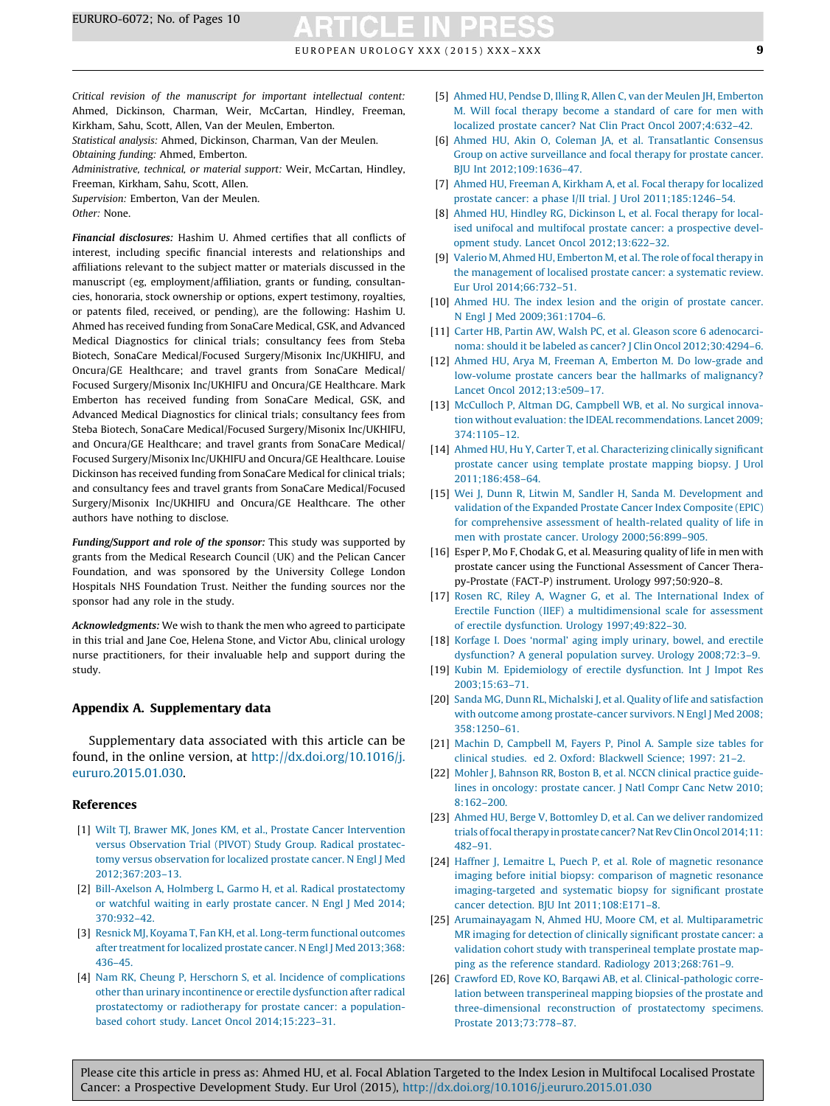E U RO PEAN UROLOGY XXX (2015) XXX-XXX ATTENTION CONTROLLER THE CONTROL OF STREET AND THE CONTROLLER THE CONTROLLER OF STREET AND THE CONTROLLER OF STREET AND THE CONTROLLER OF STREET AND THE CONTROLLER OF STREET AND THE C

<span id="page-8-0"></span>Critical revision of the manuscript for important intellectual content: Ahmed, Dickinson, Charman, Weir, McCartan, Hindley, Freeman, Kirkham, Sahu, Scott, Allen, Van der Meulen, Emberton.

Statistical analysis: Ahmed, Dickinson, Charman, Van der Meulen.

Obtaining funding: Ahmed, Emberton.

Administrative, technical, or material support: Weir, McCartan, Hindley,

Freeman, Kirkham, Sahu, Scott, Allen. Supervision: Emberton, Van der Meulen.

Other: None.

Financial disclosures: Hashim U. Ahmed certifies that all conflicts of interest, including specific financial interests and relationships and affiliations relevant to the subject matter or materials discussed in the manuscript (eg, employment/affiliation, grants or funding, consultancies, honoraria, stock ownership or options, expert testimony, royalties, or patents filed, received, or pending), are the following: Hashim U. Ahmed has received funding from SonaCare Medical, GSK, and Advanced Medical Diagnostics for clinical trials; consultancy fees from Steba Biotech, SonaCare Medical/Focused Surgery/Misonix Inc/UKHIFU, and Oncura/GE Healthcare; and travel grants from SonaCare Medical/ Focused Surgery/Misonix Inc/UKHIFU and Oncura/GE Healthcare. Mark Emberton has received funding from SonaCare Medical, GSK, and Advanced Medical Diagnostics for clinical trials; consultancy fees from Steba Biotech, SonaCare Medical/Focused Surgery/Misonix Inc/UKHIFU, and Oncura/GE Healthcare; and travel grants from SonaCare Medical/ Focused Surgery/Misonix Inc/UKHIFU and Oncura/GE Healthcare. Louise Dickinson has received funding from SonaCare Medical for clinical trials; and consultancy fees and travel grants from SonaCare Medical/Focused Surgery/Misonix Inc/UKHIFU and Oncura/GE Healthcare. The other authors have nothing to disclose.

Funding/Support and role of the sponsor: This study was supported by grants from the Medical Research Council (UK) and the Pelican Cancer Foundation, and was sponsored by the University College London Hospitals NHS Foundation Trust. Neither the funding sources nor the sponsor had any role in the study.

Acknowledgments: We wish to thank the men who agreed to participate in this trial and Jane Coe, Helena Stone, and Victor Abu, clinical urology nurse practitioners, for their invaluable help and support during the study.

#### Appendix A. Supplementary data

Supplementary data associated with this article can be found, in the online version, at [http://dx.doi.org/10.1016/j.](http://dx.doi.org/10.1016/j.eururo.2015.01.030) [eururo.2015.01.030](http://dx.doi.org/10.1016/j.eururo.2015.01.030).

#### References

- [1] Wilt TJ, Brawer MK, Jones KM, et al., Prostate Cancer [Intervention](http://refhub.elsevier.com/S0302-2838(15)00073-1/sbref0160) versus [Observation](http://refhub.elsevier.com/S0302-2838(15)00073-1/sbref0160) Trial (PIVOT) Study Group. Radical prostatectomy versus [observation](http://refhub.elsevier.com/S0302-2838(15)00073-1/sbref0160) for localized prostate cancer. N Engl J Med [2012;367:203–13.](http://refhub.elsevier.com/S0302-2838(15)00073-1/sbref0160)
- [2] Bill-Axelson A, Holmberg L, Garmo H, et al. Radical [prostatectomy](http://refhub.elsevier.com/S0302-2838(15)00073-1/sbref0165) or [watchful](http://refhub.elsevier.com/S0302-2838(15)00073-1/sbref0165) waiting in early prostate cancer. N Engl J Med 2014; [370:932–42](http://refhub.elsevier.com/S0302-2838(15)00073-1/sbref0165).
- [3] Resnick MJ, Koyama T, Fan KH, et al. [Long-term](http://refhub.elsevier.com/S0302-2838(15)00073-1/sbref0170) functional outcomes after treatment for localized prostate cancer. N Engl J Med 2013;368: [436–45.](http://refhub.elsevier.com/S0302-2838(15)00073-1/sbref0170)
- [4] Nam RK, Cheung P, Herschorn S, et al. Incidence of [complications](http://refhub.elsevier.com/S0302-2838(15)00073-1/sbref0175) other than urinary [incontinence](http://refhub.elsevier.com/S0302-2838(15)00073-1/sbref0175) or erectile dysfunction after radical [prostatectomy](http://refhub.elsevier.com/S0302-2838(15)00073-1/sbref0175) or radiotherapy for prostate cancer: a populationbased cohort study. Lancet Oncol [2014;15:223–31](http://refhub.elsevier.com/S0302-2838(15)00073-1/sbref0175).
- [5] Ahmed HU, Pendse D, Illing R, Allen C, van der Meulen JH, [Emberton](http://refhub.elsevier.com/S0302-2838(15)00073-1/sbref0180) M. Will focal therapy become a [standard](http://refhub.elsevier.com/S0302-2838(15)00073-1/sbref0180) of care for men with localized prostate cancer? Nat Clin Pract Oncol [2007;4:632–42.](http://refhub.elsevier.com/S0302-2838(15)00073-1/sbref0180)
- [6] Ahmed HU, Akin O, Coleman JA, et al. [Transatlantic](http://refhub.elsevier.com/S0302-2838(15)00073-1/sbref0185) Consensus Group on active [surveillance](http://refhub.elsevier.com/S0302-2838(15)00073-1/sbref0185) and focal therapy for prostate cancer. BJU Int [2012;109:1636–47](http://refhub.elsevier.com/S0302-2838(15)00073-1/sbref0185).
- [7] Ahmed HU, Freeman A, Kirkham A, et al. Focal therapy for [localized](http://refhub.elsevier.com/S0302-2838(15)00073-1/sbref0190) prostate cancer: a phase I/II trial. J Urol [2011;185:1246–54](http://refhub.elsevier.com/S0302-2838(15)00073-1/sbref0190).
- [8] Ahmed HU, Hindley RG, [Dickinson](http://refhub.elsevier.com/S0302-2838(15)00073-1/sbref0195) L, et al. Focal therapy for localised unifocal and multifocal prostate cancer: a [prospective](http://refhub.elsevier.com/S0302-2838(15)00073-1/sbref0195) development study. Lancet Oncol [2012;13:622–32.](http://refhub.elsevier.com/S0302-2838(15)00073-1/sbref0195)
- [9] Valerio M, Ahmed HU, [Emberton](http://refhub.elsevier.com/S0302-2838(15)00073-1/sbref0200) M, et al. The role of focal therapy in the [management](http://refhub.elsevier.com/S0302-2838(15)00073-1/sbref0200) of localised prostate cancer: a systematic review. Eur Urol [2014;66:732–51](http://refhub.elsevier.com/S0302-2838(15)00073-1/sbref0200).
- [10] Ahmed HU. The index lesion and the origin of [prostate](http://refhub.elsevier.com/S0302-2838(15)00073-1/sbref0205) cancer. N Engl J Med [2009;361:1704–6.](http://refhub.elsevier.com/S0302-2838(15)00073-1/sbref0205)
- [11] Carter HB, Partin AW, Walsh PC, et al. Gleason score 6 [adenocarci](http://refhub.elsevier.com/S0302-2838(15)00073-1/sbref0210)noma: should it be labeled as cancer? J Clin Oncol [2012;30:4294–6](http://refhub.elsevier.com/S0302-2838(15)00073-1/sbref0210).
- [12] Ahmed HU, Arya M, Freeman A, Emberton M. Do [low-grade](http://refhub.elsevier.com/S0302-2838(15)00073-1/sbref0215) and low-volume prostate cancers bear the hallmarks of [malignancy?](http://refhub.elsevier.com/S0302-2838(15)00073-1/sbref0215) Lancet Oncol [2012;13:e509–17.](http://refhub.elsevier.com/S0302-2838(15)00073-1/sbref0215)
- [13] [McCulloch](http://refhub.elsevier.com/S0302-2838(15)00073-1/sbref0220) P, Altman DG, Campbell WB, et al. No surgical innovation without evaluation: the IDEAL [recommendations.](http://refhub.elsevier.com/S0302-2838(15)00073-1/sbref0220) Lancet 2009; [374:1105–12](http://refhub.elsevier.com/S0302-2838(15)00073-1/sbref0220).
- [14] Ahmed HU, Hu Y, Carter T, et al. [Characterizing](http://refhub.elsevier.com/S0302-2838(15)00073-1/sbref0225) clinically significant prostate cancer using [template](http://refhub.elsevier.com/S0302-2838(15)00073-1/sbref0225) prostate mapping biopsy. J Urol [2011;186:458–64](http://refhub.elsevier.com/S0302-2838(15)00073-1/sbref0225).
- [15] Wei J, Dunn R, Litwin M, Sandler H, Sanda M. [Development](http://refhub.elsevier.com/S0302-2838(15)00073-1/sbref0230) and validation of the Expanded Prostate Cancer Index [Composite](http://refhub.elsevier.com/S0302-2838(15)00073-1/sbref0230) (EPIC) for [comprehensive](http://refhub.elsevier.com/S0302-2838(15)00073-1/sbref0230) assessment of health-related quality of life in men with prostate cancer. Urology [2000;56:899–905](http://refhub.elsevier.com/S0302-2838(15)00073-1/sbref0230).
- [16] Esper P, Mo F, Chodak G, et al. Measuring quality of life in men with prostate cancer using the Functional Assessment of Cancer Therapy-Prostate (FACT-P) instrument. Urology 997;50:920–8.
- [17] Rosen RC, Riley A, Wagner G, et al. The [International](http://refhub.elsevier.com/S0302-2838(15)00073-1/sbref0240) Index of Erectile Function (IIEF) a [multidimensional](http://refhub.elsevier.com/S0302-2838(15)00073-1/sbref0240) scale for assessment of erectile dysfunction. Urology [1997;49:822–30](http://refhub.elsevier.com/S0302-2838(15)00073-1/sbref0240).
- [18] Korfage I. Does ['normal'](http://refhub.elsevier.com/S0302-2838(15)00073-1/sbref0245) aging imply urinary, bowel, and erectile [dysfunction?](http://refhub.elsevier.com/S0302-2838(15)00073-1/sbref0245) A general population survey. Urology 2008;72:3–9.
- [19] Kubin M. [Epidemiology](http://refhub.elsevier.com/S0302-2838(15)00073-1/sbref0250) of erectile dysfunction. Int J Impot Res [2003;15:63–71.](http://refhub.elsevier.com/S0302-2838(15)00073-1/sbref0250)
- [20] Sanda MG, Dunn RL, Michalski J, et al. Quality of life and [satisfaction](http://refhub.elsevier.com/S0302-2838(15)00073-1/sbref0255) with outcome among [prostate-cancer](http://refhub.elsevier.com/S0302-2838(15)00073-1/sbref0255) survivors. N Engl J Med 2008; [358:1250–61](http://refhub.elsevier.com/S0302-2838(15)00073-1/sbref0255).
- [21] Machin D, [Campbell](http://refhub.elsevier.com/S0302-2838(15)00073-1/sbref0260) M, Fayers P, Pinol A. Sample size tables for clinical studies. ed 2. Oxford: [Blackwell](http://refhub.elsevier.com/S0302-2838(15)00073-1/sbref0260) Science; 1997: 21–2.
- [22] Mohler J, [Bahnson](http://refhub.elsevier.com/S0302-2838(15)00073-1/sbref0265) RR, Boston B, et al. NCCN clinical practice guidelines in [oncology:](http://refhub.elsevier.com/S0302-2838(15)00073-1/sbref0265) prostate cancer. J Natl Compr Canc Netw 2010; [8:162–200.](http://refhub.elsevier.com/S0302-2838(15)00073-1/sbref0265)
- [23] Ahmed HU, Berge V, Bottomley D, et al. Can we deliver [randomized](http://refhub.elsevier.com/S0302-2838(15)00073-1/sbref0270) trials of focal therapy in prostate cancer? Nat Rev Clin Oncol 2014;11: [482–91](http://refhub.elsevier.com/S0302-2838(15)00073-1/sbref0270).
- [24] Haffner J, Lemaitre L, Puech P, et al. Role of magnetic [resonance](http://refhub.elsevier.com/S0302-2838(15)00073-1/sbref0275) imaging before initial biopsy: [comparison](http://refhub.elsevier.com/S0302-2838(15)00073-1/sbref0275) of magnetic resonance [imaging-targeted](http://refhub.elsevier.com/S0302-2838(15)00073-1/sbref0275) and systematic biopsy for significant prostate cancer detection. BJU Int [2011;108:E171–8](http://refhub.elsevier.com/S0302-2838(15)00073-1/sbref0275).
- [25] [Arumainayagam](http://refhub.elsevier.com/S0302-2838(15)00073-1/sbref0280) N, Ahmed HU, Moore CM, et al. Multiparametric MR imaging for detection of clinically [significant](http://refhub.elsevier.com/S0302-2838(15)00073-1/sbref0280) prostate cancer: a validation cohort study with [transperineal](http://refhub.elsevier.com/S0302-2838(15)00073-1/sbref0280) template prostate mapping as the reference standard. Radiology [2013;268:761–9](http://refhub.elsevier.com/S0302-2838(15)00073-1/sbref0280).
- [26] Crawford ED, Rove KO, Barqawi AB, et al. [Clinical-pathologic](http://refhub.elsevier.com/S0302-2838(15)00073-1/sbref0285) correlation between [transperineal](http://refhub.elsevier.com/S0302-2838(15)00073-1/sbref0285) mapping biopsies of the prostate and [three-dimensional](http://refhub.elsevier.com/S0302-2838(15)00073-1/sbref0285) reconstruction of prostatectomy specimens. Prostate [2013;73:778–87.](http://refhub.elsevier.com/S0302-2838(15)00073-1/sbref0285)